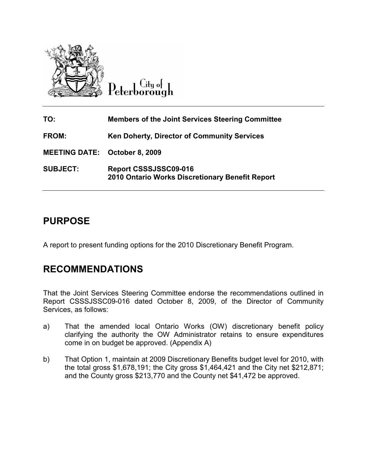

 $C$ ity of Peterborough

| TO:                                  | <b>Members of the Joint Services Steering Committee</b>                  |
|--------------------------------------|--------------------------------------------------------------------------|
| <b>FROM:</b>                         | <b>Ken Doherty, Director of Community Services</b>                       |
| <b>MEETING DATE: October 8, 2009</b> |                                                                          |
| <b>SUBJECT:</b>                      | Report CSSSJSSC09-016<br>2010 Ontario Works Discretionary Benefit Report |

# PURPOSE

A report to present funding options for the 2010 Discretionary Benefit Program.

# RECOMMENDATIONS

That the Joint Services Steering Committee endorse the recommendations outlined in Report CSSSJSSC09-016 dated October 8, 2009, of the Director of Community Services, as follows:

- a) That the amended local Ontario Works (OW) discretionary benefit policy clarifying the authority the OW Administrator retains to ensure expenditures come in on budget be approved. (Appendix A)
- b) That Option 1, maintain at 2009 Discretionary Benefits budget level for 2010, with the total gross \$1,678,191; the City gross \$1,464,421 and the City net \$212,871; and the County gross \$213,770 and the County net \$41,472 be approved.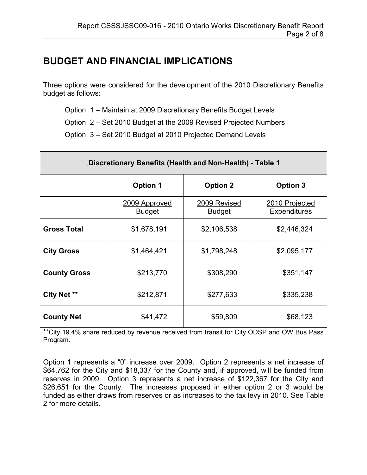# BUDGET AND FINANCIAL IMPLICATIONS

Three options were considered for the development of the 2010 Discretionary Benefits budget as follows:

Option 1 – Maintain at 2009 Discretionary Benefits Budget Levels

Option 2 – Set 2010 Budget at the 2009 Revised Projected Numbers

Option 3 – Set 2010 Budget at 2010 Projected Demand Levels

| Discretionary Benefits (Health and Non-Health) - Table 1 |                                |                               |                                |  |  |
|----------------------------------------------------------|--------------------------------|-------------------------------|--------------------------------|--|--|
|                                                          | <b>Option 1</b>                | <b>Option 2</b>               | <b>Option 3</b>                |  |  |
|                                                          | 2009 Approved<br><b>Budget</b> | 2009 Revised<br><b>Budget</b> | 2010 Projected<br>Expenditures |  |  |
| <b>Gross Total</b>                                       | \$1,678,191                    | \$2,106,538                   | \$2,446,324                    |  |  |
| <b>City Gross</b>                                        | \$1,464,421                    | \$1,798,248                   | \$2,095,177                    |  |  |
| <b>County Gross</b>                                      | \$213,770                      | \$308,290                     | \$351,147                      |  |  |
| City Net **                                              | \$212,871                      | \$277,633                     | \$335,238                      |  |  |
| <b>County Net</b>                                        | \$41,472                       | \$59,809                      | \$68,123                       |  |  |

\*\*City 19.4% share reduced by revenue received from transit for City ODSP and OW Bus Pass Program.

Option 1 represents a "0" increase over 2009. Option 2 represents a net increase of \$64,762 for the City and \$18,337 for the County and, if approved, will be funded from reserves in 2009. Option 3 represents a net increase of \$122,367 for the City and \$26,651 for the County. The increases proposed in either option 2 or 3 would be funded as either draws from reserves or as increases to the tax levy in 2010. See Table 2 for more details.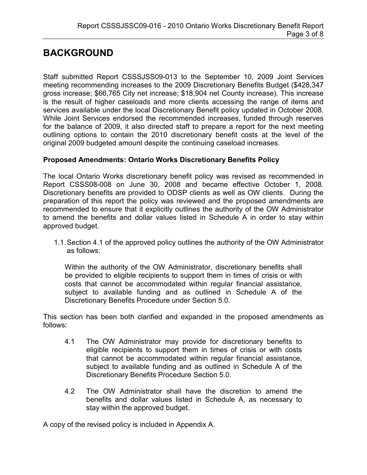# BACKGROUND

Staff submitted Report CSSSJSS09-013 to the September 10, 2009 Joint Services meeting recommending increases to the 2009 Discretionary Benefits Budget (\$428,347 gross increase; \$66,765 City net increase; \$18,904 net County increase). This increase is the result of higher caseloads and more clients accessing the range of items and services available under the local Discretionary Benefit policy updated in October 2008. While Joint Services endorsed the recommended increases, funded through reserves for the balance of 2009, it also directed staff to prepare a report for the next meeting outlining options to contain the 2010 discretionary benefit costs at the level of the original 2009 budgeted amount despite the continuing caseload increases.

### Proposed Amendments: Ontario Works Discretionary Benefits Policy

The local Ontario Works discretionary benefit policy was revised as recommended in Report CSSS08-008 on June 30, 2008 and became effective October 1, 2008. Discretionary benefits are provided to ODSP clients as well as OW clients. During the preparation of this report the policy was reviewed and the proposed amendments are recommended to ensure that it explicitly outlines the authority of the OW Administrator to amend the benefits and dollar values listed in Schedule A in order to stay within approved budget.

1.1. Section 4.1 of the approved policy outlines the authority of the OW Administrator as follows:

Within the authority of the OW Administrator, discretionary benefits shall be provided to eligible recipients to support them in times of crisis or with costs that cannot be accommodated within regular financial assistance, subject to available funding and as outlined in Schedule A of the Discretionary Benefits Procedure under Section 5.0.

This section has been both clarified and expanded in the proposed amendments as follows:

- 4.1 The OW Administrator may provide for discretionary benefits to eligible recipients to support them in times of crisis or with costs that cannot be accommodated within regular financial assistance, subject to available funding and as outlined in Schedule A of the Discretionary Benefits Procedure Section 5.0.
- 4.2 The OW Administrator shall have the discretion to amend the benefits and dollar values listed in Schedule A, as necessary to stay within the approved budget.

A copy of the revised policy is included in Appendix A.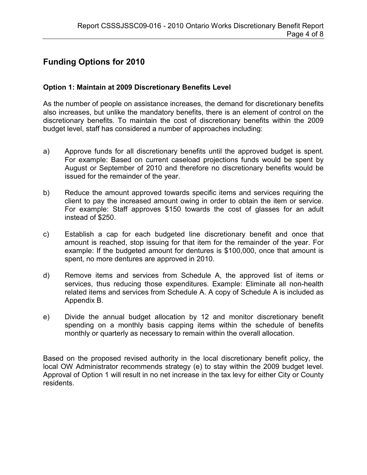## Funding Options for 2010

### Option 1: Maintain at 2009 Discretionary Benefits Level

As the number of people on assistance increases, the demand for discretionary benefits also increases, but unlike the mandatory benefits, there is an element of control on the discretionary benefits. To maintain the cost of discretionary benefits within the 2009 budget level, staff has considered a number of approaches including:

- a) Approve funds for all discretionary benefits until the approved budget is spent. For example: Based on current caseload projections funds would be spent by August or September of 2010 and therefore no discretionary benefits would be issued for the remainder of the year.
- b) Reduce the amount approved towards specific items and services requiring the client to pay the increased amount owing in order to obtain the item or service. For example: Staff approves \$150 towards the cost of glasses for an adult instead of \$250.
- c) Establish a cap for each budgeted line discretionary benefit and once that amount is reached, stop issuing for that item for the remainder of the year. For example: If the budgeted amount for dentures is \$100,000, once that amount is spent, no more dentures are approved in 2010.
- d) Remove items and services from Schedule A, the approved list of items or services, thus reducing those expenditures. Example: Eliminate all non-health related items and services from Schedule A. A copy of Schedule A is included as Appendix B.
- e) Divide the annual budget allocation by 12 and monitor discretionary benefit spending on a monthly basis capping items within the schedule of benefits monthly or quarterly as necessary to remain within the overall allocation.

Based on the proposed revised authority in the local discretionary benefit policy, the local OW Administrator recommends strategy (e) to stay within the 2009 budget level. Approval of Option 1 will result in no net increase in the tax levy for either City or County residents.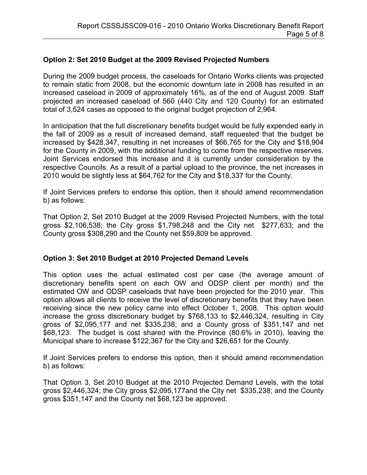### Option 2: Set 2010 Budget at the 2009 Revised Projected Numbers

During the 2009 budget process, the caseloads for Ontario Works clients was projected to remain static from 2008, but the economic downturn late in 2008 has resulted in an increased caseload in 2009 of approximately 16%, as of the end of August 2009. Staff projected an increased caseload of 560 (440 City and 120 County) for an estimated total of 3,524 cases as opposed to the original budget projection of 2,964.

In anticipation that the full discretionary benefits budget would be fully expended early in the fall of 2009 as a result of increased demand, staff requested that the budget be increased by \$428,347, resulting in net increases of \$66,765 for the City and \$18,904 for the County in 2009, with the additional funding to come from the respective reserves. Joint Services endorsed this increase and it is currently under consideration by the respective Councils. As a result of a partial upload to the province, the net increases in 2010 would be slightly less at \$64,762 for the City and \$18,337 for the County.

If Joint Services prefers to endorse this option, then it should amend recommendation b) as follows:

That Option 2, Set 2010 Budget at the 2009 Revised Projected Numbers, with the total gross \$2,106,538; the City gross \$1,798,248 and the City net \$277,633; and the County gross \$308,290 and the County net \$59,809 be approved.

#### Option 3: Set 2010 Budget at 2010 Projected Demand Levels

This option uses the actual estimated cost per case (the average amount of discretionary benefits spent on each OW and ODSP client per month) and the estimated OW and ODSP caseloads that have been projected for the 2010 year. This option allows all clients to receive the level of discretionary benefits that they have been receiving since the new policy came into effect October 1, 2008. This option would increase the gross discretionary budget by \$768,133 to \$2,446,324, resulting in City gross of \$2,095,177 and net \$335,238; and a County gross of \$351,147 and net \$68,123. The budget is cost shared with the Province (80.6% in 2010), leaving the Municipal share to increase \$122,367 for the City and \$26,651 for the County.

If Joint Services prefers to endorse this option, then it should amend recommendation b) as follows:

That Option 3, Set 2010 Budget at the 2010 Projected Demand Levels, with the total gross \$2,446,324; the City gross \$2,095,177and the City net \$335,238; and the County gross \$351,147 and the County net \$68,123 be approved.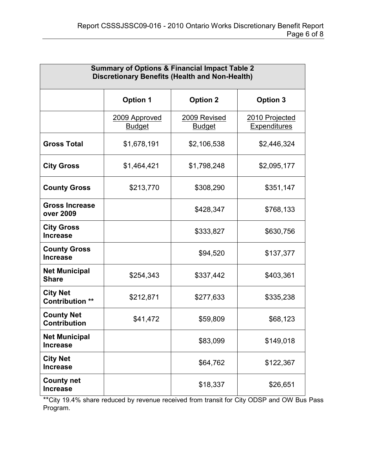| <b>Summary of Options &amp; Financial Impact Table 2</b><br><b>Discretionary Benefits (Health and Non-Health)</b> |                                |                               |                                       |  |  |
|-------------------------------------------------------------------------------------------------------------------|--------------------------------|-------------------------------|---------------------------------------|--|--|
|                                                                                                                   | <b>Option 1</b>                | <b>Option 2</b>               | <b>Option 3</b>                       |  |  |
|                                                                                                                   | 2009 Approved<br><b>Budget</b> | 2009 Revised<br><b>Budget</b> | 2010 Projected<br><b>Expenditures</b> |  |  |
| <b>Gross Total</b>                                                                                                | \$1,678,191                    | \$2,106,538                   | \$2,446,324                           |  |  |
| <b>City Gross</b>                                                                                                 | \$1,464,421                    | \$1,798,248                   | \$2,095,177                           |  |  |
| <b>County Gross</b>                                                                                               | \$213,770                      | \$308,290                     | \$351,147                             |  |  |
| <b>Gross Increase</b><br>over 2009                                                                                |                                | \$428,347                     | \$768,133                             |  |  |
| <b>City Gross</b><br><b>Increase</b>                                                                              |                                | \$333,827                     | \$630,756                             |  |  |
| <b>County Gross</b><br><b>Increase</b>                                                                            |                                | \$94,520                      | \$137,377                             |  |  |
| <b>Net Municipal</b><br><b>Share</b>                                                                              | \$254,343                      | \$337,442                     | \$403,361                             |  |  |
| <b>City Net</b><br><b>Contribution **</b>                                                                         | \$212,871                      | \$277,633                     | \$335,238                             |  |  |
| <b>County Net</b><br><b>Contribution</b>                                                                          | \$41,472                       | \$59,809                      | \$68,123                              |  |  |
| <b>Net Municipal</b><br><b>Increase</b>                                                                           |                                | \$83,099                      | \$149,018                             |  |  |
| <b>City Net</b><br><b>Increase</b>                                                                                |                                | \$64,762                      | \$122,367                             |  |  |
| <b>County net</b><br><b>Increase</b>                                                                              |                                | \$18,337                      | \$26,651                              |  |  |

\*\*City 19.4% share reduced by revenue received from transit for City ODSP and OW Bus Pass Program.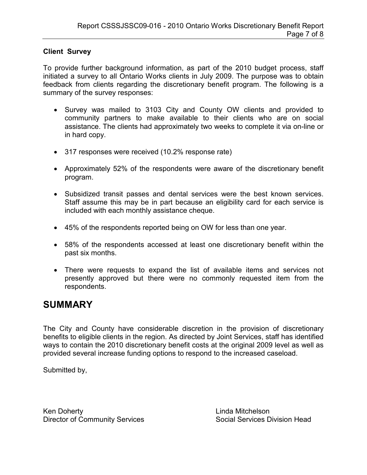### Client Survey

To provide further background information, as part of the 2010 budget process, staff initiated a survey to all Ontario Works clients in July 2009. The purpose was to obtain feedback from clients regarding the discretionary benefit program. The following is a summary of the survey responses:

- Survey was mailed to 3103 City and County OW clients and provided to community partners to make available to their clients who are on social assistance. The clients had approximately two weeks to complete it via on-line or in hard copy.
- 317 responses were received (10.2% response rate)
- Approximately 52% of the respondents were aware of the discretionary benefit program.
- Subsidized transit passes and dental services were the best known services. Staff assume this may be in part because an eligibility card for each service is included with each monthly assistance cheque.
- 45% of the respondents reported being on OW for less than one year.
- 58% of the respondents accessed at least one discretionary benefit within the past six months.
- There were requests to expand the list of available items and services not presently approved but there were no commonly requested item from the respondents.

## **SUMMARY**

The City and County have considerable discretion in the provision of discretionary benefits to eligible clients in the region. As directed by Joint Services, staff has identified ways to contain the 2010 discretionary benefit costs at the original 2009 level as well as provided several increase funding options to respond to the increased caseload.

Submitted by,

Ken Doherty<br>
Director of Community Services<br>
Controlled Bervices Social Services Division Head Director of Community Services